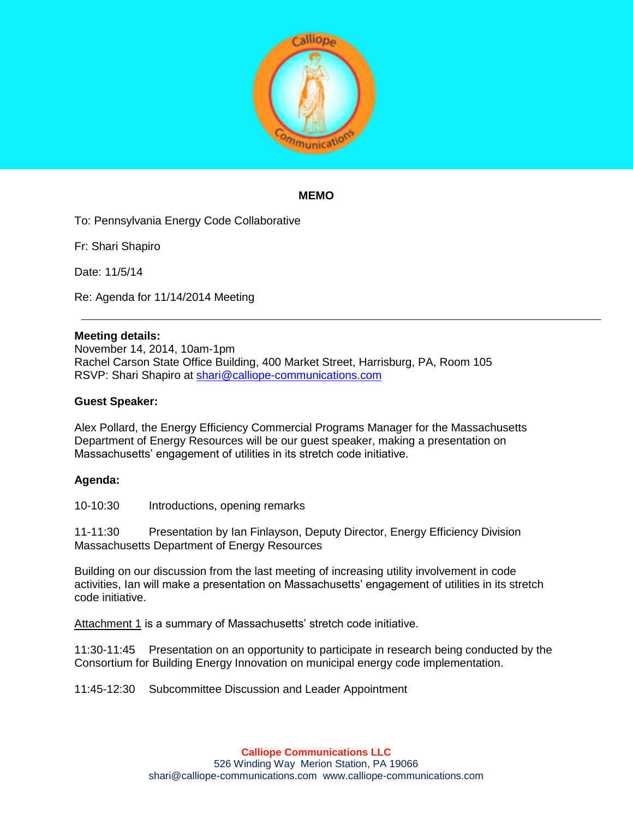

## **MEMO**

To: Pennsylvania Energy Code Collaborative

Fr: Shari Shapiro

Date: 11/5/14

Re: Agenda for 11/14/2014 Meeting

## **Meeting details:**

November 14, 2014, 10am-1pm Rachel Carson State Office Building, 400 Market Street, Harrisburg, PA, Room 105 RSVP: Shari Shapiro at [shari@calliope-communications.com](mailto:shari@calliope-communications.com)

## **Guest Speaker:**

Alex Pollard, the Energy Efficiency Commercial Programs Manager for the Massachusetts Department of Energy Resources will be our guest speaker, making a presentation on Massachusetts' engagement of utilities in its stretch code initiative.

## **Agenda:**

10-10:30 Introductions, opening remarks

11-11:30 Presentation by Ian Finlayson, Deputy Director, Energy Efficiency Division Massachusetts Department of Energy Resources

Building on our discussion from the last meeting of increasing utility involvement in code activities, Ian will make a presentation on Massachusetts' engagement of utilities in its stretch code initiative.

Attachment 1 is a summary of Massachusetts' stretch code initiative.

11:30-11:45 Presentation on an opportunity to participate in research being conducted by the Consortium for Building Energy Innovation on municipal energy code implementation.

11:45-12:30 Subcommittee Discussion and Leader Appointment